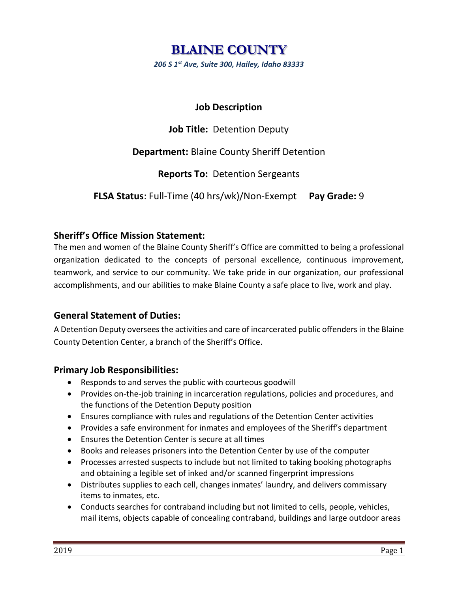# **Job Description**

**Job Title:** Detention Deputy

**Department:** Blaine County Sheriff Detention

**Reports To:** Detention Sergeants

**FLSA Status**: Full-Time (40 hrs/wk)/Non-Exempt **Pay Grade:** 9

# **Sheriff's Office Mission Statement:**

The men and women of the Blaine County Sheriff's Office are committed to being a professional organization dedicated to the concepts of personal excellence, continuous improvement, teamwork, and service to our community. We take pride in our organization, our professional accomplishments, and our abilities to make Blaine County a safe place to live, work and play.

# **General Statement of Duties:**

A Detention Deputy oversees the activities and care of incarcerated public offenders in the Blaine County Detention Center, a branch of the Sheriff's Office.

## **Primary Job Responsibilities:**

- Responds to and serves the public with courteous goodwill
- Provides on-the-job training in incarceration regulations, policies and procedures, and the functions of the Detention Deputy position
- Ensures compliance with rules and regulations of the Detention Center activities
- Provides a safe environment for inmates and employees of the Sheriff's department
- Ensures the Detention Center is secure at all times
- Books and releases prisoners into the Detention Center by use of the computer
- Processes arrested suspects to include but not limited to taking booking photographs and obtaining a legible set of inked and/or scanned fingerprint impressions
- Distributes supplies to each cell, changes inmates' laundry, and delivers commissary items to inmates, etc.
- Conducts searches for contraband including but not limited to cells, people, vehicles, mail items, objects capable of concealing contraband, buildings and large outdoor areas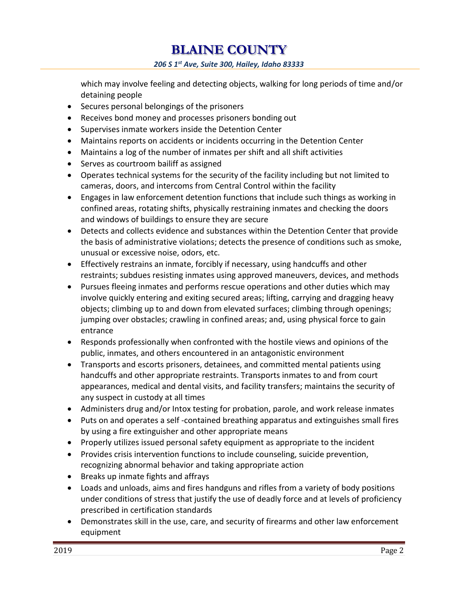**BLAINE COUNTY**  *206 S 1st Ave, Suite 300, Hailey, Idaho 83333*

which may involve feeling and detecting objects, walking for long periods of time and/or detaining people

- Secures personal belongings of the prisoners
- Receives bond money and processes prisoners bonding out
- Supervises inmate workers inside the Detention Center
- Maintains reports on accidents or incidents occurring in the Detention Center
- Maintains a log of the number of inmates per shift and all shift activities
- Serves as courtroom bailiff as assigned
- Operates technical systems for the security of the facility including but not limited to cameras, doors, and intercoms from Central Control within the facility
- Engages in law enforcement detention functions that include such things as working in confined areas, rotating shifts, physically restraining inmates and checking the doors and windows of buildings to ensure they are secure
- Detects and collects evidence and substances within the Detention Center that provide the basis of administrative violations; detects the presence of conditions such as smoke, unusual or excessive noise, odors, etc.
- Effectively restrains an inmate, forcibly if necessary, using handcuffs and other restraints; subdues resisting inmates using approved maneuvers, devices, and methods
- Pursues fleeing inmates and performs rescue operations and other duties which may involve quickly entering and exiting secured areas; lifting, carrying and dragging heavy objects; climbing up to and down from elevated surfaces; climbing through openings; jumping over obstacles; crawling in confined areas; and, using physical force to gain entrance
- Responds professionally when confronted with the hostile views and opinions of the public, inmates, and others encountered in an antagonistic environment
- Transports and escorts prisoners, detainees, and committed mental patients using handcuffs and other appropriate restraints. Transports inmates to and from court appearances, medical and dental visits, and facility transfers; maintains the security of any suspect in custody at all times
- Administers drug and/or Intox testing for probation, parole, and work release inmates
- Puts on and operates a self -contained breathing apparatus and extinguishes small fires by using a fire extinguisher and other appropriate means
- Properly utilizes issued personal safety equipment as appropriate to the incident
- Provides crisis intervention functions to include counseling, suicide prevention, recognizing abnormal behavior and taking appropriate action
- Breaks up inmate fights and affrays
- Loads and unloads, aims and fires handguns and rifles from a variety of body positions under conditions of stress that justify the use of deadly force and at levels of proficiency prescribed in certification standards
- Demonstrates skill in the use, care, and security of firearms and other law enforcement equipment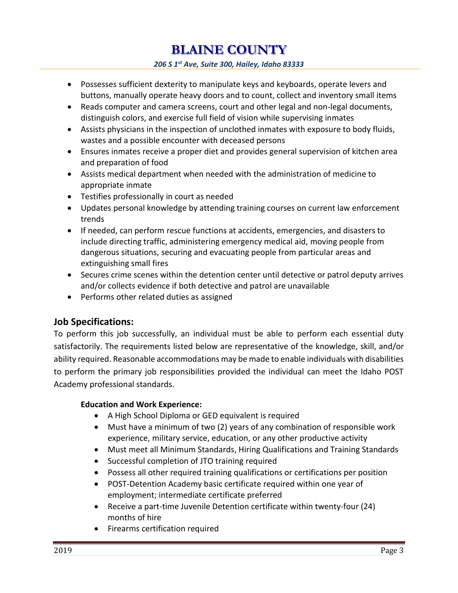**BLAINE COUNTY** 

*206 S 1st Ave, Suite 300, Hailey, Idaho 83333*

- Possesses sufficient dexterity to manipulate keys and keyboards, operate levers and buttons, manually operate heavy doors and to count, collect and inventory small items
- Reads computer and camera screens, court and other legal and non-legal documents, distinguish colors, and exercise full field of vision while supervising inmates
- Assists physicians in the inspection of unclothed inmates with exposure to body fluids, wastes and a possible encounter with deceased persons
- Ensures inmates receive a proper diet and provides general supervision of kitchen area and preparation of food
- Assists medical department when needed with the administration of medicine to appropriate inmate
- Testifies professionally in court as needed
- Updates personal knowledge by attending training courses on current law enforcement trends
- If needed, can perform rescue functions at accidents, emergencies, and disasters to include directing traffic, administering emergency medical aid, moving people from dangerous situations, securing and evacuating people from particular areas and extinguishing small fires
- Secures crime scenes within the detention center until detective or patrol deputy arrives and/or collects evidence if both detective and patrol are unavailable
- Performs other related duties as assigned

## **Job Specifications:**

To perform this job successfully, an individual must be able to perform each essential duty satisfactorily. The requirements listed below are representative of the knowledge, skill, and/or ability required. Reasonable accommodations may be made to enable individuals with disabilities to perform the primary job responsibilities provided the individual can meet the Idaho POST Academy professional standards.

#### **Education and Work Experience:**

- A High School Diploma or GED equivalent is required
- Must have a minimum of two (2) years of any combination of responsible work experience, military service, education, or any other productive activity
- Must meet all Minimum Standards, Hiring Qualifications and Training Standards
- Successful completion of JTO training required
- Possess all other required training qualifications or certifications per position
- POST-Detention Academy basic certificate required within one year of employment; intermediate certificate preferred
- Receive a part-time Juvenile Detention certificate within twenty-four (24) months of hire
- Firearms certification required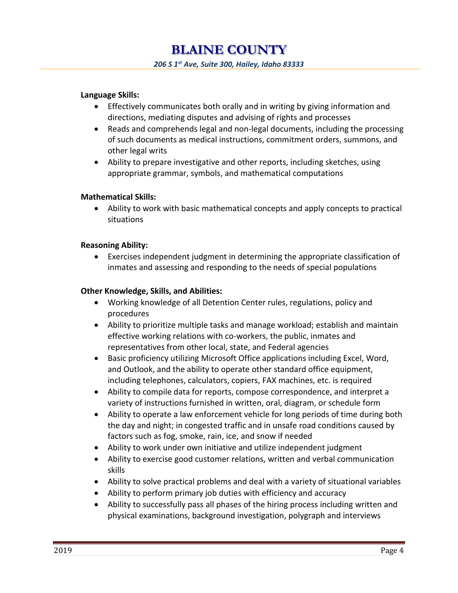#### **Language Skills:**

- Effectively communicates both orally and in writing by giving information and directions, mediating disputes and advising of rights and processes
- Reads and comprehends legal and non-legal documents, including the processing of such documents as medical instructions, commitment orders, summons, and other legal writs
- Ability to prepare investigative and other reports, including sketches, using appropriate grammar, symbols, and mathematical computations

#### **Mathematical Skills:**

 Ability to work with basic mathematical concepts and apply concepts to practical situations

#### **Reasoning Ability:**

 Exercises independent judgment in determining the appropriate classification of inmates and assessing and responding to the needs of special populations

#### **Other Knowledge, Skills, and Abilities:**

- Working knowledge of all Detention Center rules, regulations, policy and procedures
- Ability to prioritize multiple tasks and manage workload; establish and maintain effective working relations with co-workers, the public, inmates and representatives from other local, state, and Federal agencies
- Basic proficiency utilizing Microsoft Office applications including Excel, Word, and Outlook, and the ability to operate other standard office equipment, including telephones, calculators, copiers, FAX machines, etc. is required
- Ability to compile data for reports, compose correspondence, and interpret a variety of instructions furnished in written, oral, diagram, or schedule form
- Ability to operate a law enforcement vehicle for long periods of time during both the day and night; in congested traffic and in unsafe road conditions caused by factors such as fog, smoke, rain, ice, and snow if needed
- Ability to work under own initiative and utilize independent judgment
- Ability to exercise good customer relations, written and verbal communication skills
- Ability to solve practical problems and deal with a variety of situational variables
- Ability to perform primary job duties with efficiency and accuracy
- Ability to successfully pass all phases of the hiring process including written and physical examinations, background investigation, polygraph and interviews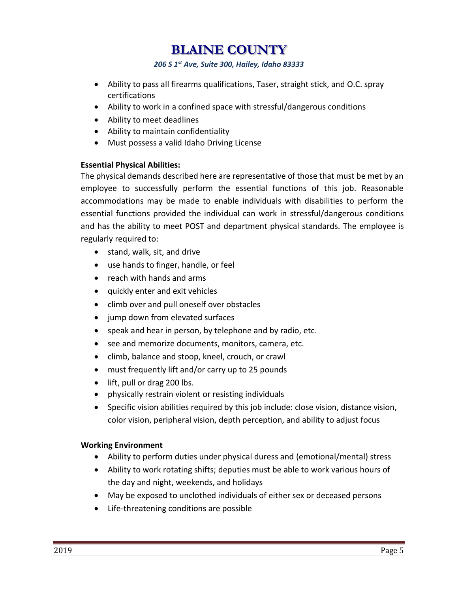**BLAINE COUNTY**  *206 S 1st Ave, Suite 300, Hailey, Idaho 83333*

- Ability to pass all firearms qualifications, Taser, straight stick, and O.C. spray certifications
- Ability to work in a confined space with stressful/dangerous conditions
- Ability to meet deadlines
- Ability to maintain confidentiality
- Must possess a valid Idaho Driving License

#### **Essential Physical Abilities:**

The physical demands described here are representative of those that must be met by an employee to successfully perform the essential functions of this job. Reasonable accommodations may be made to enable individuals with disabilities to perform the essential functions provided the individual can work in stressful/dangerous conditions and has the ability to meet POST and department physical standards. The employee is regularly required to:

- stand, walk, sit, and drive
- use hands to finger, handle, or feel
- reach with hands and arms
- quickly enter and exit vehicles
- climb over and pull oneself over obstacles
- jump down from elevated surfaces
- speak and hear in person, by telephone and by radio, etc.
- see and memorize documents, monitors, camera, etc.
- climb, balance and stoop, kneel, crouch, or crawl
- must frequently lift and/or carry up to 25 pounds
- lift, pull or drag 200 lbs.
- physically restrain violent or resisting individuals
- Specific vision abilities required by this job include: close vision, distance vision, color vision, peripheral vision, depth perception, and ability to adjust focus

#### **Working Environment**

- Ability to perform duties under physical duress and (emotional/mental) stress
- Ability to work rotating shifts; deputies must be able to work various hours of the day and night, weekends, and holidays
- May be exposed to unclothed individuals of either sex or deceased persons
- Life-threatening conditions are possible